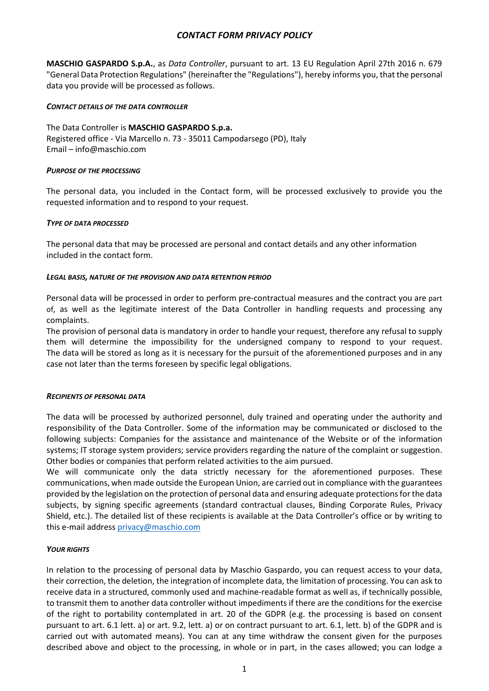# *CONTACT FORM PRIVACY POLICY*

**MASCHIO GASPARDO S.p.A.**, as *Data Controller*, pursuant to art. 13 EU Regulation April 27th 2016 n. 679 "General Data Protection Regulations" (hereinafter the "Regulations"), hereby informs you, that the personal data you provide will be processed as follows.

### *CONTACT DETAILS OF THE DATA CONTROLLER*

The Data Controller is **MASCHIO GASPARDO S.p.a.** Registered office - Via Marcello n. 73 - 35011 Campodarsego (PD), Italy Email – info@maschio.com

### *PURPOSE OF THE PROCESSING*

The personal data, you included in the Contact form, will be processed exclusively to provide you the requested information and to respond to your request.

### *TYPE OF DATA PROCESSED*

The personal data that may be processed are personal and contact details and any other information included in the contact form.

### *LEGAL BASIS, NATURE OF THE PROVISION AND DATA RETENTION PERIOD*

Personal data will be processed in order to perform pre-contractual measures and the contract you are part of, as well as the legitimate interest of the Data Controller in handling requests and processing any complaints.

The provision of personal data is mandatory in order to handle your request, therefore any refusal to supply them will determine the impossibility for the undersigned company to respond to your request. The data will be stored as long as it is necessary for the pursuit of the aforementioned purposes and in any case not later than the terms foreseen by specific legal obligations.

#### *RECIPIENTS OF PERSONAL DATA*

The data will be processed by authorized personnel, duly trained and operating under the authority and responsibility of the Data Controller. Some of the information may be communicated or disclosed to the following subjects: Companies for the assistance and maintenance of the Website or of the information systems; IT storage system providers; service providers regarding the nature of the complaint or suggestion. Other bodies or companies that perform related activities to the aim pursued.

We will communicate only the data strictly necessary for the aforementioned purposes. These communications, when made outside the European Union, are carried out in compliance with the guarantees provided by the legislation on the protection of personal data and ensuring adequate protections for the data subjects, by signing specific agreements (standard contractual clauses, Binding Corporate Rules, Privacy Shield, etc.). The detailed list of these recipients is available at the Data Controller's office or by writing to this e-mail address [privacy@maschio.com](mailto:privacy@maschio.com)

### *YOUR RIGHTS*

In relation to the processing of personal data by Maschio Gaspardo, you can request access to your data, their correction, the deletion, the integration of incomplete data, the limitation of processing. You can ask to receive data in a structured, commonly used and machine-readable format as well as, if technically possible, to transmit them to another data controller without impediments if there are the conditions for the exercise of the right to portability contemplated in art. 20 of the GDPR (e.g. the processing is based on consent pursuant to art. 6.1 lett. a) or art. 9.2, lett. a) or on contract pursuant to art. 6.1, lett. b) of the GDPR and is carried out with automated means). You can at any time withdraw the consent given for the purposes described above and object to the processing, in whole or in part, in the cases allowed; you can lodge a